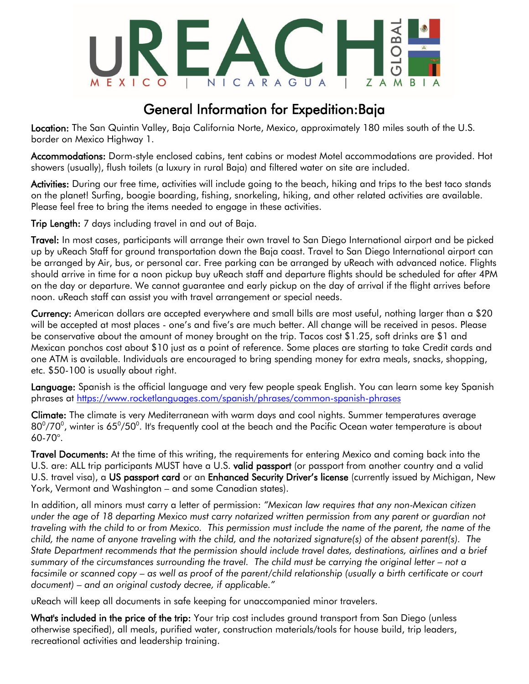

### General Information for Expedition:Baja

Location: The San Quintin Valley, Baja California Norte, Mexico, approximately 180 miles south of the U.S. border on Mexico Highway 1.

Accommodations: Dorm-style enclosed cabins, tent cabins or modest Motel accommodations are provided. Hot showers (usually), flush toilets (a luxury in rural Baja) and filtered water on site are included.

Activities: During our free time, activities will include going to the beach, hiking and trips to the best taco stands on the planet! Surfing, boogie boarding, fishing, snorkeling, hiking, and other related activities are available. Please feel free to bring the items needed to engage in these activities.

Trip Length: 7 days including travel in and out of Baja.

Travel: In most cases, participants will arrange their own travel to San Diego International airport and be picked up by uReach Staff for ground transportation down the Baja coast. Travel to San Diego International airport can be arranged by Air, bus, or personal car. Free parking can be arranged by uReach with advanced notice. Flights should arrive in time for a noon pickup buy uReach staff and departure flights should be scheduled for after 4PM on the day or departure. We cannot guarantee and early pickup on the day of arrival if the flight arrives before noon. uReach staff can assist you with travel arrangement or special needs.

Currency: American dollars are accepted everywhere and small bills are most useful, nothing larger than a \$20 will be accepted at most places - one's and five's are much better. All change will be received in pesos. Please be conservative about the amount of money brought on the trip. Tacos cost \$1.25, soft drinks are \$1 and Mexican ponchos cost about \$10 just as a point of reference. Some places are starting to take Credit cards and one ATM is available. Individuals are encouraged to bring spending money for extra meals, snacks, shopping, etc. \$50-100 is usually about right.

Language: Spanish is the official language and very few people speak English. You can learn some key Spanish phrases at<https://www.rocketlanguages.com/spanish/phrases/common-spanish-phrases>

Climate: The climate is very Mediterranean with warm days and cool nights. Summer temperatures average  $80^{\rm o}/70^{\rm o}$ , winter is 65 $^{\rm o}$ /50 $^{\rm o}$ . It's frequently cool at the beach and the Pacific Ocean water temperature is about 60-70°.

Travel Documents: At the time of this writing, the requirements for entering Mexico and coming back into the U.S. are: ALL trip participants MUST have a U.S. valid passport (or passport from another country and a valid U.S. travel visa), a US passport card or an Enhanced Security Driver's license (currently issued by Michigan, New York, Vermont and Washington – and some Canadian states).

In addition, all minors must carry a letter of permission: *"Mexican law requires that any non-Mexican citizen under the age of 18 departing Mexico must carry notarized written permission from any parent or guardian not traveling with the child to or from Mexico. This permission must include the name of the parent, the name of the child, the name of anyone traveling with the child, and the notarized signature(s) of the absent parent(s). The State Department recommends that the permission should include travel dates, destinations, airlines and a brief*  summary of the circumstances surrounding the travel. The child must be carrying the original letter – not a *facsimile or scanned copy – as well as proof of the parent/child relationship (usually a birth certificate or court document) – and an original custody decree, if applicable."*

uReach will keep all documents in safe keeping for unaccompanied minor travelers.

What's included in the price of the trip: Your trip cost includes ground transport from San Diego (unless otherwise specified), all meals, purified water, construction materials/tools for house build, trip leaders, recreational activities and leadership training.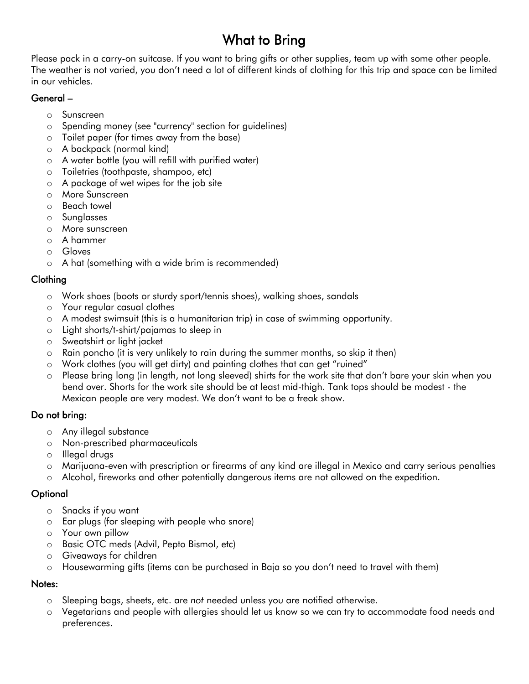## What to Bring

Please pack in a carry-on suitcase. If you want to bring gifts or other supplies, team up with some other people. The weather is not varied, you don't need a lot of different kinds of clothing for this trip and space can be limited in our vehicles.

#### General –

- o Sunscreen
- o Spending money (see "currency" section for guidelines)
- o Toilet paper (for times away from the base)
- o A backpack (normal kind)
- o A water bottle (you will refill with purified water)
- o Toiletries (toothpaste, shampoo, etc)
- o A package of wet wipes for the job site
- o More Sunscreen
- o Beach towel
- o Sunglasses
- o More sunscreen
- o A hammer
- o Gloves
- o A hat (something with a wide brim is recommended)

### Clothing

- o Work shoes (boots or sturdy sport/tennis shoes), walking shoes, sandals
- o Your regular casual clothes
- o A modest swimsuit (this is a humanitarian trip) in case of swimming opportunity.
- o Light shorts/t-shirt/pajamas to sleep in
- o Sweatshirt or light jacket
- $\circ$  Rain poncho (it is very unlikely to rain during the summer months, so skip it then)
- o Work clothes (you will get dirty) and painting clothes that can get "ruined"
- o Please bring long (in length, not long sleeved) shirts for the work site that don't bare your skin when you bend over. Shorts for the work site should be at least mid-thigh. Tank tops should be modest - the Mexican people are very modest. We don't want to be a freak show.

### Do not bring:

- o Any illegal substance
- o Non-prescribed pharmaceuticals
- o Illegal drugs
- o Marijuana-even with prescription or firearms of any kind are illegal in Mexico and carry serious penalties
- o Alcohol, fireworks and other potentially dangerous items are not allowed on the expedition.

### **Optional**

- o Snacks if you want
- o Ear plugs (for sleeping with people who snore)
- o Your own pillow
- o Basic OTC meds (Advil, Pepto Bismol, etc)
- o Giveaways for children
- o Housewarming gifts (items can be purchased in Baja so you don't need to travel with them)

### Notes:

- o Sleeping bags, sheets, etc. are *not* needed unless you are notified otherwise.
- o Vegetarians and people with allergies should let us know so we can try to accommodate food needs and preferences.